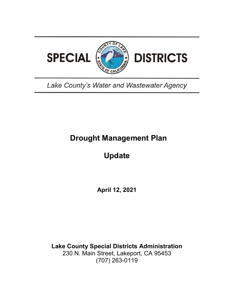

# Lake County's Water and Wastewater Agency

# **Drought Management Plan**

# **Update**

**April 12, 2021**

**Lake County Special Districts Administration** 230 N. Main Street, Lakeport, CA 95453 (707) 263-0119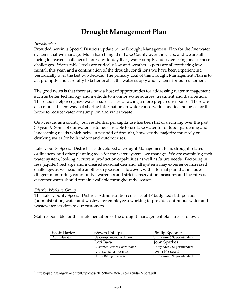# **Drought Management Plan**

#### *Introduction*

Provided herein is Special Districts update to the Drought Management Plan for the five water systems that we manage. Much has changed in Lake County over the years, and we are all facing increased challenges in our day-to-day lives; water supply and usage being one of those challenges. Water table levels are critically low and weather experts are all predicting low rainfall this year, and a continuation of the drought conditions we have been experiencing periodically over the last two decade. The primary goal of this Drought Management Plan is to act promptly and carefully to better protect the water supply and systems for our customers.

The good news is that there are now a host of opportunities for addressing water management such as better technology and methods to monitor water sources, treatment and distribution. These tools help recognize water issues earlier, allowing a more prepared response. There are also more efficient ways of sharing information on water conservation and technologies for the home to reduce water consumption and water waste.

On average, as a country our residential per capita use has been flat or declining over the past 30 years[1.](#page-1-0) Some of our water customers are able to use lake water for outdoor gardening and landscaping needs which helps in periodd of drought, however the majority must rely on drinking water for both indoor and outdoor uses.

Lake County Special Districts has developed a Drought Management Plan, drought related ordinances, and other planning tools for the water systems we manage. We are examining each water system, looking at current production capabilities as well as future needs. Factoring in less (aquifer) recharge and increased seasonal demand, all systems may experience increased challenges as we head into another dry season. However, with a formal plan that includes diligent monitoring, community awareness and strict conservation measures and incentives, customer water should remain available throughout the season.

#### *District Working Group*

The Lake County Special Districts Administration consists of 47 budgeted staff positions (administration, water and wastewater employees) working to provide continuous water and wastewater services to our customers.

Staff responsible for the implementation of the drought management plan are as follows:

| <b>Scott Harter</b> | <b>Steven Phillips</b>              | <b>Phillip Spooner</b>        |
|---------------------|-------------------------------------|-------------------------------|
| Administrator       | US Compliance Coordinator           | Utility Area 3 Superintendent |
|                     | Lori Baca                           | <b>John Sparkes</b>           |
|                     | <b>Customer Service Coordinator</b> | Utility Area 2 Superintendent |
|                     | Cassandra Benitez                   | Lynn Prescott                 |
|                     | <b>Utility Billing Specialist</b>   | Utility Area 1 Superintendent |

<span id="page-1-0"></span> <sup>1</sup> https://pacinst.org/wp-content/uploads/2015/04/Water-Use-Trends-Report.pdf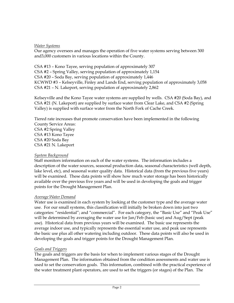### *Water Systems*

Our agency oversees and manages the operation of five water systems serving between 300 and3,000 customers in various locations within the County.

CSA #13 – Kono Tayee, serving population of approximately 307 CSA #2 – Spring Valley, serving population of approximately 1,154 CSA #20 – Soda Bay, serving population of approximately 1,446 KCWWD #3 – Kelseyville, Finley and Lands End, serving population of approximately 3,058 CSA #21 – N. Lakeport, serving population of approximately 2,862

Kelseyville and the Kono Tayee water systems are supplied by wells. CSA #20 (Soda Bay), and CSA #21 (N. Lakeport) are supplied by surface water from Clear Lake, and CSA #2 (Spring Valley) is supplied with surface water from the North Fork of Cache Creek.

Tiered rate increases that promote conservation have been implemented in the following County Service Areas: CSA #2 Spring Valley

CSA #13 Kono Tayee CSA #20 Soda Bay CSA #21 N. Lakeport

# *System Background*

Staff monitors information on each of the water systems. The information includes a description of the water sources, seasonal production data, seasonal characteristics (well depth, lake level, etc), and seasonal water quality data. Historical data (from the previous five years) will be examined. These data points will show how much water storage has been historically available over the previous five years and will be used in developing the goals and trigger points for the Drought Management Plan.

# *Average Water Demand*

Water use is examined in each system by looking at the customer type and the average water use. For our small systems, this classification will initially be broken down into just two categories: "residential"; and "commercial". For each category, the "Basic Use" and "Peak Use" will be determined by averaging the water use for Jan/Feb (basic use) and Aug/Sept (peak use). Historical data from previous years will be examined. The basic use represents the average indoor use, and typically represents the essential water use, and peak use represents the basic use plus all other watering including outdoor. These data points will also be used in developing the goals and trigger points for the Drought Management Plan.

# *Goals and Triggers*

The goals and triggers are the basis for when to implement various stages of the Drought Management Plan. The information obtained from the condition assessments and water use is used to set the conservation goals. This information, combined with the practical experience of the water treatment plant operators, are used to set the triggers (or stages) of the Plan. The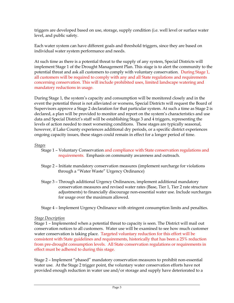triggers are developed based on use, storage, supply condition (i.e. well level or surface water level, and public safety.

Each water system can have different goals and threshold triggers, since they are based on individual water system performance and needs.

At such time as there is a potential threat to the supply of any system, Special Districts will implement Stage 1 of the Drought Management Plan. This stage is to alert the community to the potential threat and ask all customers to comply with voluntary conservation. During Stage 1, all customers will be required to comply with any and all State regulations and requirements concerning conservation. This will include prohibited uses, limited landscape watering and mandatory reductions in usage.

During Stage 1, the system's capacity and consumption will be monitored closely and in the event the potential threat is not alleviated or worsens, Special Districts will request the Board of Supervisors approve a Stage 2 declaration for that particular system. At such a time as Stage 2 is declared, a plan will be provided to monitor and report on the system's characteristics and use data and Special District's staff will be establishing Stage 3 and 4 triggers, representing the levels of action needed to meet worsening conditions. These stages are typically seasonal, however, if Lake County experiences additional dry periods, or a specific district experiences ongoing capacity issues, these stages could remain in effect for a longer period of time.

*Stages*

- Stage 1 Voluntary Conservation and compliance with State conservation regulations and requirements. Emphasis on community awareness and outreach.
- Stage 2 Initiate mandatory conservation measures (implement surcharge for violations through a "Water Waste" Urgency Ordinance)
- Stage 3 Through additional Urgency Ordinances, implement additional mandatory conservation measures and revised water rates (Base, Tier 1, Tier 2 rate structure adjustments) to financially discourage non-essential water use. Include surcharges for usage over the maximum allowed.
- Stage 4 Implement Urgency Ordinance with stringent consumption limits and penalties.

### *Stage Description*

Stage 1 – Implemented when a potential threat to capacity is seen. The District will mail out conservation notices to all customers. Water use will be examined to see how much customer water conservation is taking place. Targeted voluntary reduction for this effort will be consistent with State guidelines and requirements, historically that has been a 25% reduction from pre-drought consumption levels. All State conservation regulations or requirements in effect must be adhered to during this stage.

Stage 2 – Implement "phased" mandatory conservation measures to prohibit non-essential water use. At the Stage 2 trigger point, the voluntary water conservation efforts have not provided enough reduction in water use and/or storage and supply have deteriorated to a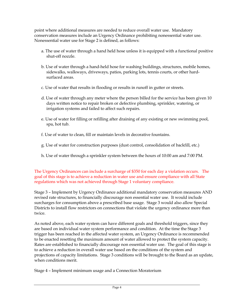point where additional measures are needed to reduce overall water use. Mandatory conservation measures include an Urgency Ordinance prohibiting nonessential water use. Nonessential water use for Stage 2 is defined, as follows:

- a. The use of water through a hand held hose unless it is equipped with a functional positive shut-off nozzle.
- b. Use of water through a hand-held hose for washing buildings, structures, mobile homes, sidewalks, walkways, driveways, patios, parking lots, tennis courts, or other hardsurfaced areas.
- c. Use of water that results in flooding or results in runoff in gutter or streets.
- d. Use of water through any meter where the person billed for the service has been given 10 days written notice to repair broken or defective plumbing, sprinkler, watering, or irrigation systems and failed to affect such repairs.
- e. Use of water for filling or refilling after draining of any existing or new swimming pool, spa, hot tub.
- f. Use of water to clean, fill or maintain levels in decorative fountains.
- g. Use of water for construction purposes (dust control, consolidation of backfill, etc.)
- h. Use of water through a sprinkler system between the hours of 10:00 am and 7:00 PM.

The Urgency Ordinances can include a surcharge of \$350 for each day a violation occurs. The goal of this stage is to achieve a reduction in water use and ensure compliance with all State regulations which was not achieved through Stage 1 voluntary compliance.

Stage 3 – Implement by Urgency Ordinance additional mandatory conservation measures AND revised rate structures, to financially discourage non essential water use. It would include surcharges for consumption above a prescribed base usage. Stage 3 would also allow Special Districts to install flow restrictors on connections that violate the urgency ordinance more than twice.

As noted above, each water system can have different goals and threshold triggers, since they are based on individual water system performance and condition. At the time the Stage 3 trigger has been reached in the affected water system, an Urgency Ordinance is recommended to be enacted resetting the maximum amount of water allowed to protect the system capacity. Rates are established to financially discourage non essential water use. The goal of this stage is to achieve a reduction in overall water use based on the conditions of the system and projections of capacity limitations. Stage 3 conditions will be brought to the Board as an update, when conditions merit.

Stage 4 – Implement minimum usage and a Connection Moratorium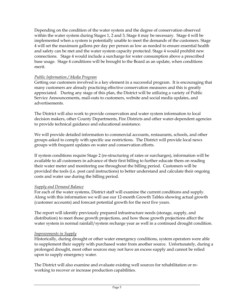Depending on the condition of the water system and the degree of conservation observed within the water system during Stages 1, 2 and 3, Stage 4 may be necessary. Stage 4 will be implemented when a system is potentially unable to meet the demands of the customers. Stage 4 will set the maximum gallons per day per person as low as needed to ensure essential health and safety can be met and the water system capacity protected. Stage 4 would prohibit new connections. Stage 4 would include a surcharge for water consumption above a prescribed base usage. Stage 4 conditions will be brought to the Board as an update, when conditions merit.

## *Public Information / Media Program*

Getting our customers involved is a key element in a successful program. It is encouraging that many customers are already practicing effective conservation measures and this is greatly appreciated. During any stage of this plan, the District will be utilizing a variety of Public Service Announcements, mail-outs to customers, website and social media updates, and advertisements.

The District will also work to provide conservation and water system information to local decision makers, other County Departments, Fire Districts and other water-dependent agencies to provide technical guidance and educational assistance.

We will provide detailed information to commercial accounts, restaurants, schools, and other groups asked to comply with specific use restrictions. The District will provide local news groups with frequent updates on water and conservation efforts.

If system conditions require Stage 2 (re-structuring of rates or surcharges), information will be available to all customers in advance of their first billing to further educate them on reading their water meter and monitoring use throughout the billing period. Customers will be provided the tools (i.e. post card instructions) to better understand and calculate their ongoing costs and water use during the billing period.

### *Supply and Demand Balance*

For each of the water systems, District staff will examine the current conditions and supply. Along with this information we will use our 12-month Growth Tables showing actual growth (customer accounts) and forecast potential growth for the next five years.

The report will identify previously prepared infrastructure needs (storage, supply, and distribution) to meet those growth projections, and how those growth projections affect the water system in normal rainfall/system recharge year as well in a continued drought condition.

### *Improvements in Supply*

Historically, during drought or other water emergency conditions, system operators were able to supplement their supply with purchased water from another source. Unfortunately, during a prolonged drought, most other sources may not have an excess supply and cannot be relied upon to supply emergency water.

The District will also examine and evaluate existing well sources for rehabilitation or reworking to recover or increase production capabilities.